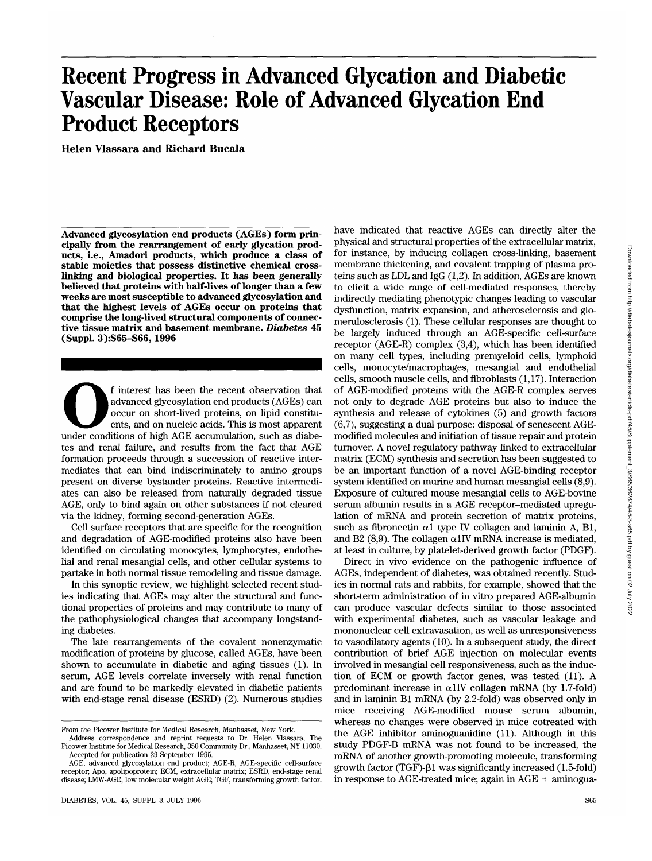## **Recent Progress in Advanced Glycation and Diabetic Vascular Disease: Role of Advanced Glycation End Product Receptors**

**Helen Vlassara and Richard Bucala**

**Advanced glycosylation end products (AGEs) form prin- cipally from the rearrangement of early glycation prod- ucts, i.e., Amadori products, which produce a class of stable moieties that possess distinctive chemical cross- linking and biological properties. It has been generally believed that proteins with half-lives of longer than a few weeks are most susceptible to advanced glycosylation and that the highest levels of AGEs occur on proteins that comprise the long-lived structural components of connec- tive tissue matrix and basement membrane.** *Diabetes***<sup>45</sup> (Suppl. 3):S65-S66, 1996**

f interest has been the recent observation that advanced glycosylation end products (AGEs) can occur on short-lived proteins, on lipid constituents, and on nucleic acids. This is most apparent under conditions of high AGE advanced glycosylation end products (AGEs) can occur on short-lived proteins, on lipid constituents, and on nucleic acids. This is most apparent tes and renal failure, and results from the fact that AGE formation proceeds through a succession of reactive intermediates that can bind indiscriminately to amino groups present on diverse bystander proteins. Reactive intermediates can also be released from naturally degraded tissue AGE, only to bind again on other substances if not cleared via the kidney, forming second-generation AGEs.

Cell surface receptors that are specific for the recognition and degradation of AGE-modified proteins also have been identified on circulating monocytes, lymphocytes, endothelial and renal mesangial cells, and other cellular systems to partake in both normal tissue remodeling and tissue damage.

In this synoptic review, we highlight selected recent studies indicating that AGEs may alter the structural and functional properties of proteins and may contribute to many of the pathophysiological changes that accompany longstanding diabetes.

The late rearrangements of the covalent nonenzymatic modification of proteins by glucose, called AGEs, have been shown to accumulate in diabetic and aging tissues (1). In serum, AGE levels correlate inversely with renal function and are found to be markedly elevated in diabetic patients with end-stage renal disease (ESRD) (2). Numerous studies

Address correspondence and reprint requests to Dr. Helen Vlassara, The Picower Institute for Medical Research, 350 Community Dr., Manhasset, NY 11030. Accepted for publication 29 September 1995.

have indicated that reactive AGEs can directly alter the physical and structural properties of the extracellular matrix, for instance, by inducing collagen cross-linking, basement membrane thickening, and covalent trapping of plasma proteins such as LDL and IgG (1,2). In addition, AGEs are known to elicit a wide range of cell-mediated responses, thereby indirectly mediating phenotypic changes leading to vascular dysfunction, matrix expansion, and atherosclerosis and glomerulosclerosis (1). These cellular responses are thought to be largely induced through an AGE-specific cell-surface receptor (AGE-R) complex (3,4), which has been identified on many cell types, including premyeloid cells, lymphoid cells, monocyte/macrophages, mesangial and endothelial cells, smooth muscle cells, and fibroblasts (1,17). Interaction of AGE-modified proteins with the AGE-R complex serves not only to degrade AGE proteins but also to induce the synthesis and release of cytokines (5) and growth factors (6,7), suggesting a dual purpose: disposal of senescent AGEmodified molecules and initiation of tissue repair and protein turnover. A novel regulatory pathway linked to extracellular matrix (ECM) synthesis and secretion has been suggested to be an important function of a novel AGE-binding receptor system identified on murine and human mesangial cells (8,9). Exposure of cultured mouse mesangial cells to AGE-bovine serum albumin results in a AGE receptor-mediated upregulation of mRNA and protein secretion of matrix proteins, such as fibronectin  $\alpha$ 1 type IV collagen and laminin A, B1, and B2 (8,9). The collagen  $\alpha$ 1IV mRNA increase is mediated, at least in culture, by platelet-derived growth factor (PDGF).

Direct in vivo evidence on the pathogenic influence of AGEs, independent of diabetes, was obtained recently. Studies in normal rats and rabbits, for example, showed that the short-term administration of in vitro prepared AGE-albumin can produce vascular defects similar to those associated with experimental diabetes, such as vascular leakage and mononuclear cell extravasation, as well as unresponsiveness to vasodilatory agents (10). In a subsequent study, the direct contribution of brief AGE injection on molecular events involved in mesangial cell responsiveness, such as the induction of ECM or growth factor genes, was tested (11). A predominant increase in  $\alpha$ 1IV collagen mRNA (by 1.7-fold) and in laminin Bl mRNA (by 2.2-fold) was observed only in mice receiving AGE-modified mouse serum albumin, whereas no changes were observed in mice cotreated with the AGE inhibitor aminoguanidine (11). Although in this study PDGF-B mRNA was not found to be increased, the mRNA of another growth-promoting molecule, transforming growth factor (TGF)- $\beta$ 1 was significantly increased (1.5-fold) in response to AGE-treated mice; again in AGE + aminogua-

Prom the Picower Institute for Medical Research, Manhasset, New York.

receptor; Apo, apolipoprotein; ECM, extracellular matrix; ESRD, end-stage renal disease; LMW-AGE, low molecular weight AGE; TGF, transforming growth factor.